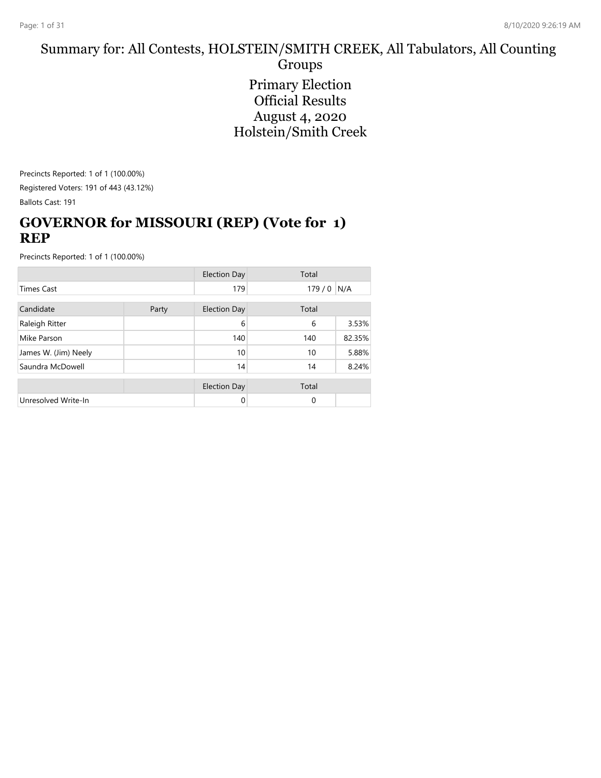#### Summary for: All Contests, HOLSTEIN/SMITH CREEK, All Tabulators, All Counting Groups Primary Election Official Results August 4, 2020 Holstein/Smith Creek

Precincts Reported: 1 of 1 (100.00%)

Registered Voters: 191 of 443 (43.12%)

Ballots Cast: 191

#### **GOVERNOR for MISSOURI (REP) (Vote for 1) REP**

|                      |       | <b>Election Day</b> | Total |        |
|----------------------|-------|---------------------|-------|--------|
| <b>Times Cast</b>    |       | 179                 | 179/0 | N/A    |
| Candidate            | Party | <b>Election Day</b> | Total |        |
| Raleigh Ritter       |       | 6                   | 6     | 3.53%  |
| Mike Parson          |       | 140                 | 140   | 82.35% |
| James W. (Jim) Neely |       | 10                  | 10    | 5.88%  |
| Saundra McDowell     |       | 14                  | 14    | 8.24%  |
|                      |       | <b>Election Day</b> | Total |        |
| Unresolved Write-In  |       | 0                   | 0     |        |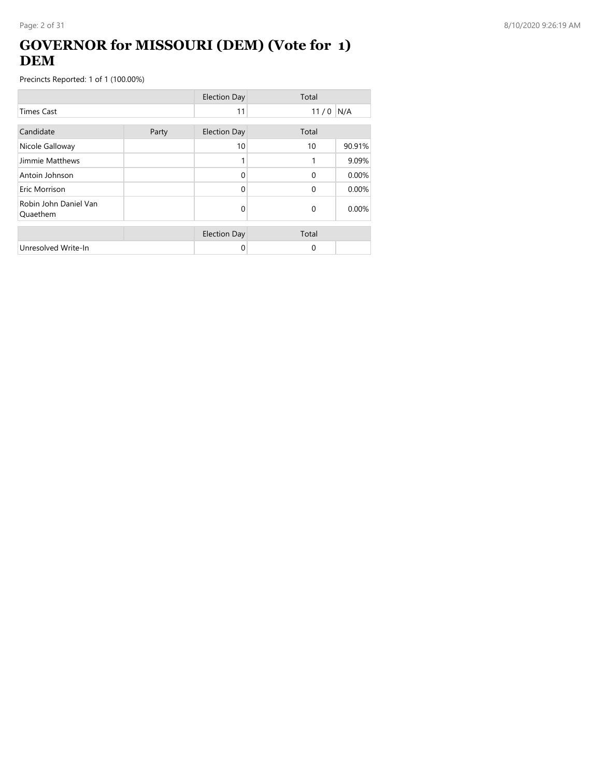# **GOVERNOR for MISSOURI (DEM) (Vote for 1) DEM**

|                                   |       | <b>Election Day</b> | Total    |        |
|-----------------------------------|-------|---------------------|----------|--------|
| <b>Times Cast</b>                 |       | 11                  | 11/0     | N/A    |
| Candidate                         | Party | <b>Election Day</b> | Total    |        |
| Nicole Galloway                   |       | 10                  | 10       | 90.91% |
| Jimmie Matthews                   |       |                     |          | 9.09%  |
| Antoin Johnson                    |       | $\Omega$            | $\Omega$ | 0.00%  |
| Eric Morrison                     |       | 0                   | $\Omega$ | 0.00%  |
| Robin John Daniel Van<br>Quaethem |       | 0                   | $\Omega$ | 0.00%  |
|                                   |       | <b>Election Day</b> | Total    |        |
| Unresolved Write-In               |       | 0                   | $\Omega$ |        |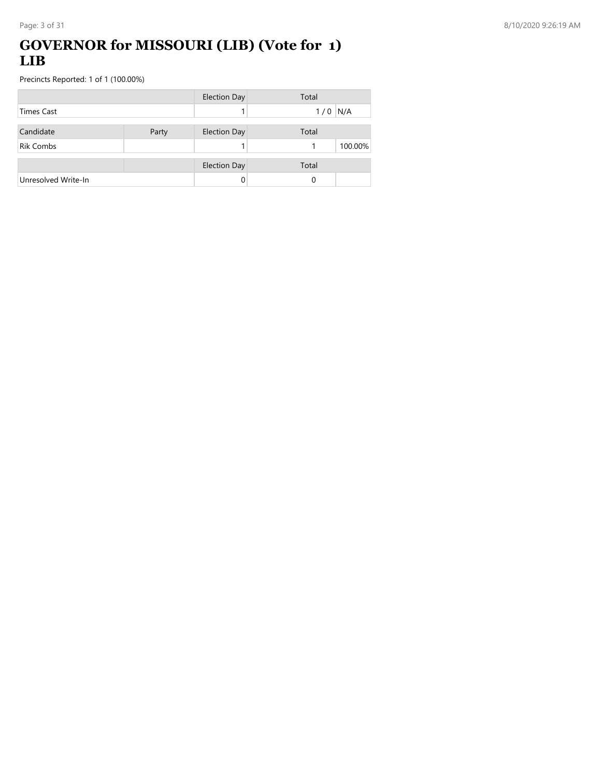### **GOVERNOR for MISSOURI (LIB) (Vote for 1) LIB**

|                     |       | <b>Election Day</b> | Total      |
|---------------------|-------|---------------------|------------|
| <b>Times Cast</b>   |       |                     | N/A<br>1/0 |
| Candidate           | Party | <b>Election Day</b> | Total      |
| <b>Rik Combs</b>    |       |                     | 100.00%    |
|                     |       | <b>Election Day</b> | Total      |
| Unresolved Write-In |       |                     | 0          |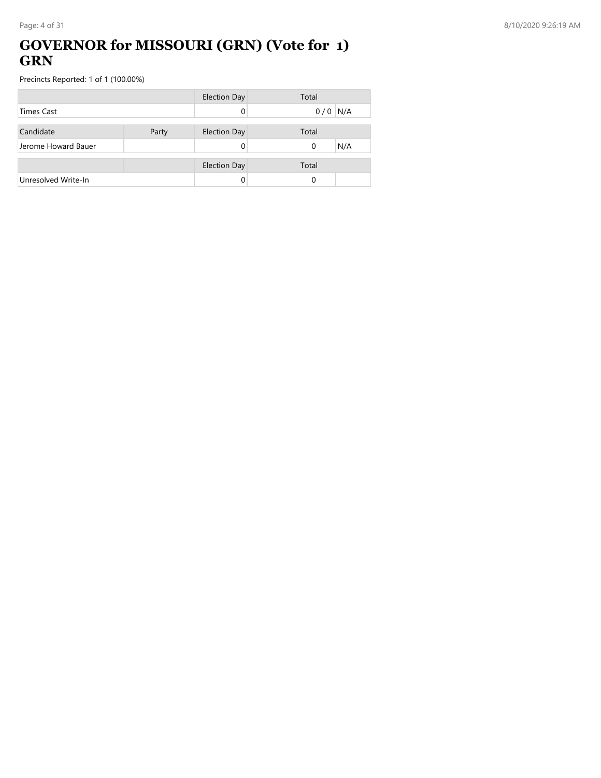# **GOVERNOR for MISSOURI (GRN) (Vote for 1) GRN**

|                     |       | Election Day        | Total    |     |
|---------------------|-------|---------------------|----------|-----|
| <b>Times Cast</b>   |       |                     | 0/0      | N/A |
|                     |       |                     |          |     |
| Candidate           | Party | <b>Election Day</b> | Total    |     |
| Jerome Howard Bauer |       |                     | $\Omega$ | N/A |
|                     |       |                     |          |     |
|                     |       | <b>Election Day</b> | Total    |     |
| Unresolved Write-In |       |                     | 0        |     |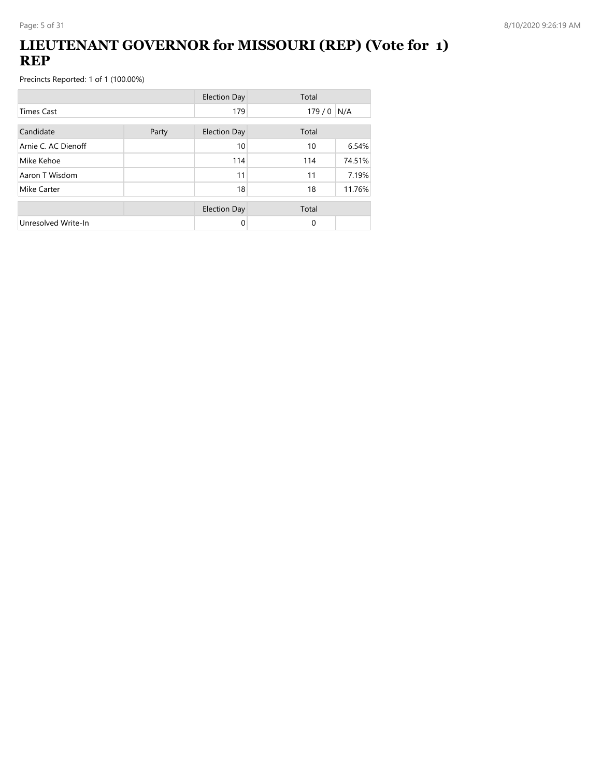# **LIEUTENANT GOVERNOR for MISSOURI (REP) (Vote for 1) REP**

|                     |       | <b>Election Day</b> | Total       |        |
|---------------------|-------|---------------------|-------------|--------|
| <b>Times Cast</b>   |       | 179                 | $179/0$ N/A |        |
| Candidate           | Party | <b>Election Day</b> | Total       |        |
| Arnie C. AC Dienoff |       | 10                  | 10          | 6.54%  |
| Mike Kehoe          |       | 114                 | 114         | 74.51% |
| Aaron T Wisdom      |       | 11                  | 11          | 7.19%  |
| Mike Carter         |       | 18                  | 18          | 11.76% |
|                     |       | <b>Election Day</b> | Total       |        |
| Unresolved Write-In |       | 0                   | $\Omega$    |        |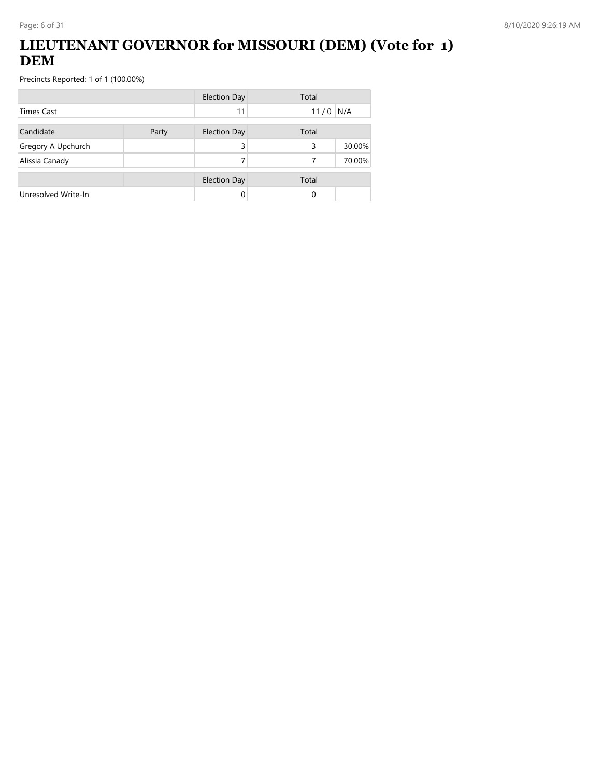# **LIEUTENANT GOVERNOR for MISSOURI (DEM) (Vote for 1) DEM**

|                     |       | <b>Election Day</b> | Total |        |
|---------------------|-------|---------------------|-------|--------|
| Times Cast          |       | 11                  | 11/0  | N/A    |
| Candidate           | Party | <b>Election Day</b> | Total |        |
| Gregory A Upchurch  |       | 3                   | 3     | 30.00% |
| Alissia Canady      |       |                     | 7     | 70.00% |
|                     |       | <b>Election Day</b> | Total |        |
| Unresolved Write-In |       |                     | 0     |        |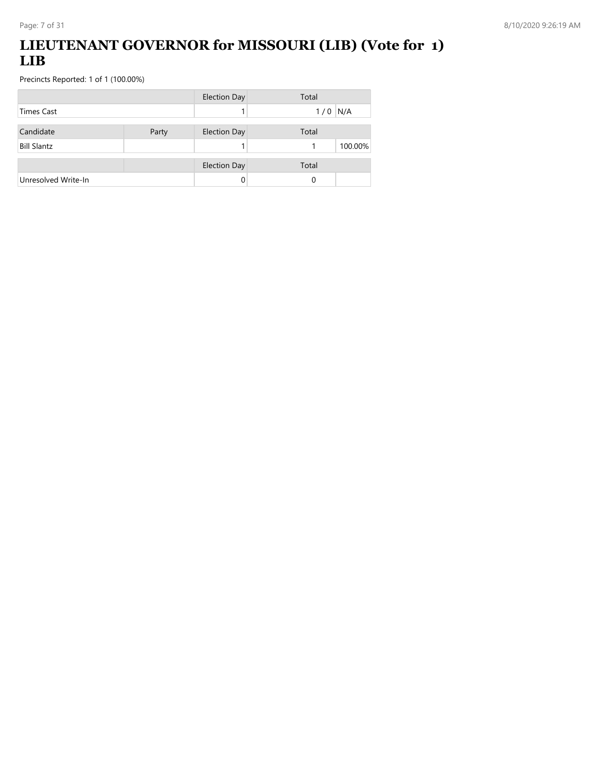# **LIEUTENANT GOVERNOR for MISSOURI (LIB) (Vote for 1) LIB**

|                     |       | <b>Election Day</b> | Total      |
|---------------------|-------|---------------------|------------|
| Times Cast          |       |                     | N/A<br>1/0 |
| Candidate           | Party | <b>Election Day</b> | Total      |
| <b>Bill Slantz</b>  |       |                     | 100.00%    |
|                     |       | <b>Election Day</b> | Total      |
| Unresolved Write-In |       | 0                   | 0          |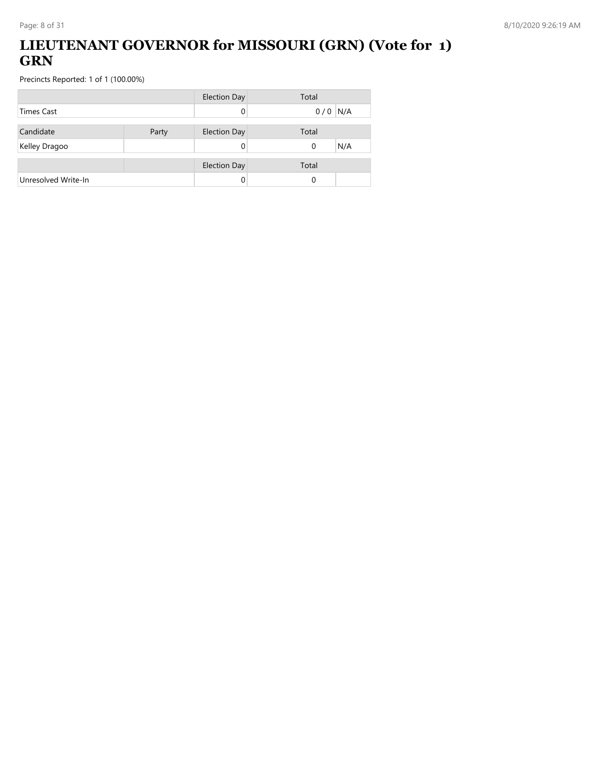# **LIEUTENANT GOVERNOR for MISSOURI (GRN) (Vote for 1) GRN**

|                     |       | <b>Election Day</b> | Total           |
|---------------------|-------|---------------------|-----------------|
| <b>Times Cast</b>   |       |                     | $0/0$ N/A       |
| Candidate           | Party | <b>Election Day</b> | Total           |
| Kelley Dragoo       |       |                     | N/A<br>$\Omega$ |
|                     |       |                     |                 |
|                     |       | <b>Election Day</b> | Total           |
| Unresolved Write-In |       |                     | 0               |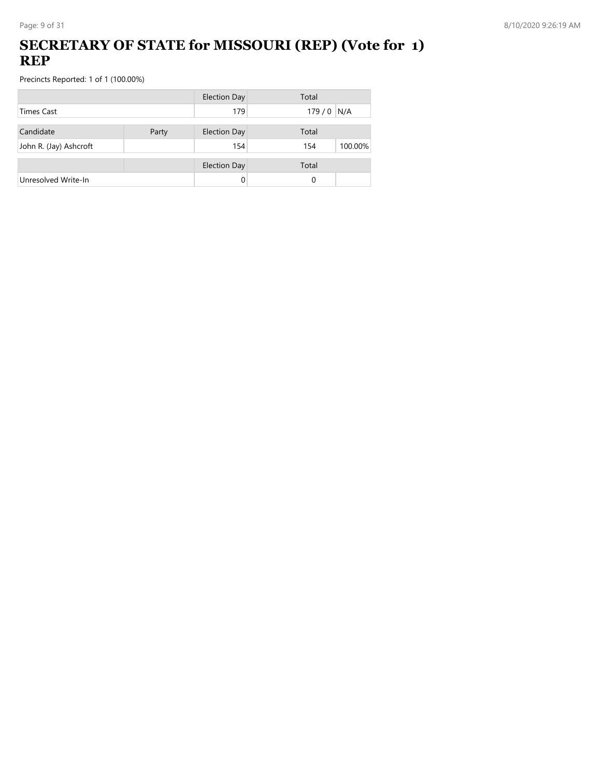# **SECRETARY OF STATE for MISSOURI (REP) (Vote for 1) REP**

|                        |       | <b>Election Day</b> | Total          |
|------------------------|-------|---------------------|----------------|
| <b>Times Cast</b>      |       | 179                 | $179/0$ N/A    |
| Candidate              | Party | <b>Election Day</b> | Total          |
| John R. (Jay) Ashcroft |       | 154                 | 100.00%<br>154 |
|                        |       | <b>Election Day</b> | Total          |
| Unresolved Write-In    |       | 0                   | 0              |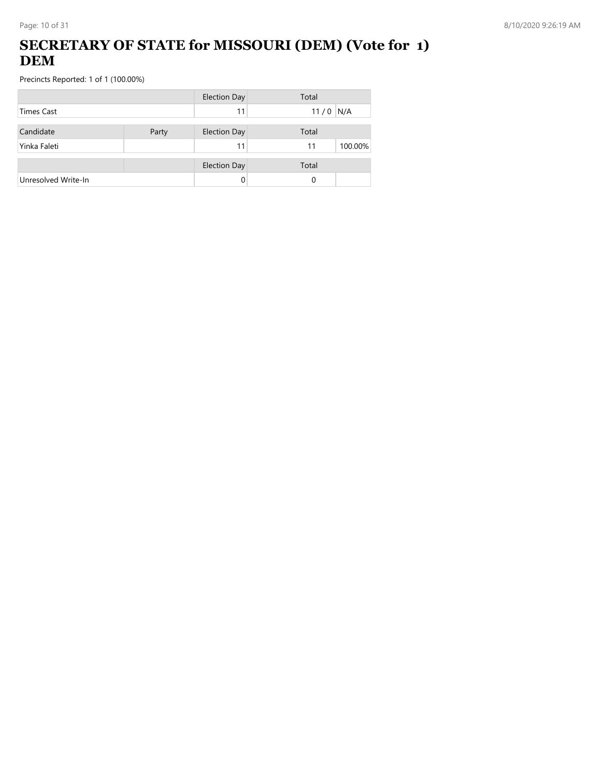# **SECRETARY OF STATE for MISSOURI (DEM) (Vote for 1) DEM**

|                     |       | <b>Election Day</b> | Total         |
|---------------------|-------|---------------------|---------------|
| Times Cast          |       | 11                  | 11/0<br>N/A   |
| Candidate           | Party | <b>Election Day</b> | Total         |
| Yinka Faleti        |       | 11                  | 100.00%<br>11 |
|                     |       | <b>Election Day</b> | Total         |
| Unresolved Write-In |       | 0                   | 0             |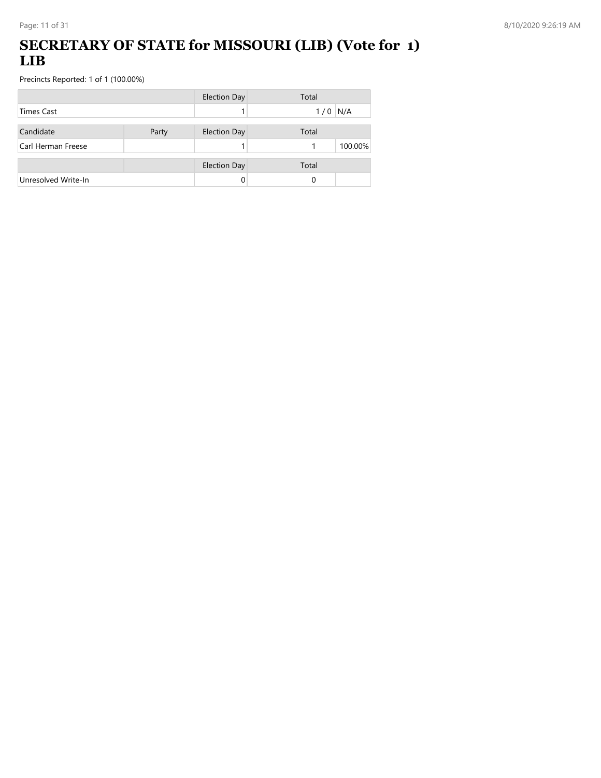### **SECRETARY OF STATE for MISSOURI (LIB) (Vote for 1) LIB**

|                     |       | <b>Election Day</b> | Total      |
|---------------------|-------|---------------------|------------|
| <b>Times Cast</b>   |       |                     | N/A<br>1/0 |
| Candidate           | Party | <b>Election Day</b> | Total      |
| Carl Herman Freese  |       |                     | 100.00%    |
|                     |       | <b>Election Day</b> | Total      |
| Unresolved Write-In |       |                     | 0          |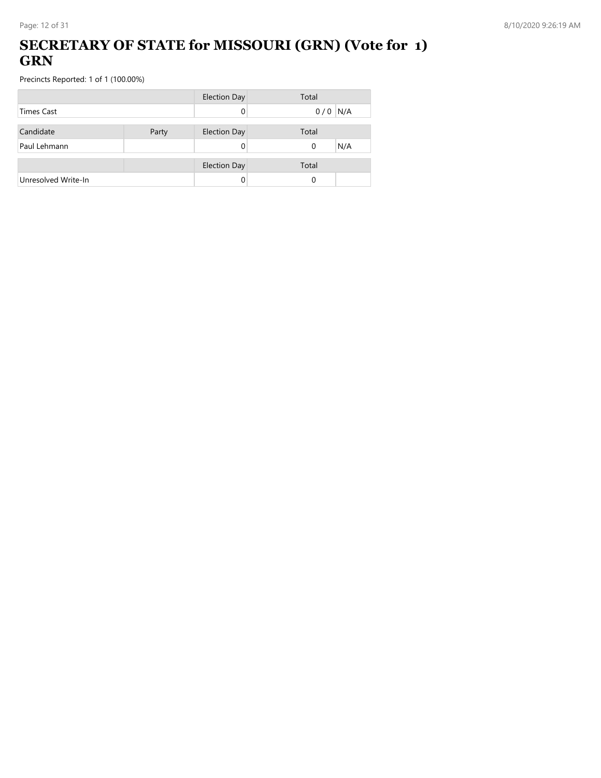## **SECRETARY OF STATE for MISSOURI (GRN) (Vote for 1) GRN**

|                     |       | <b>Election Day</b> | Total           |
|---------------------|-------|---------------------|-----------------|
| <b>Times Cast</b>   |       |                     | $0/0$ N/A       |
| Candidate           | Party | <b>Election Day</b> | Total           |
| Paul Lehmann        |       |                     | N/A<br>$\Omega$ |
|                     |       | <b>Election Day</b> | Total           |
| Unresolved Write-In |       |                     | 0               |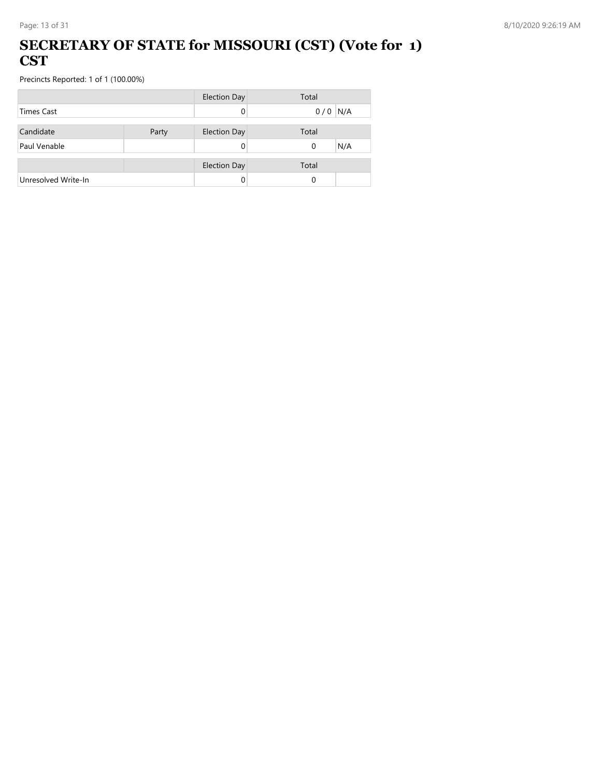#### **SECRETARY OF STATE for MISSOURI (CST) (Vote for 1) CST**

|                     |       | <b>Election Day</b> | Total     |
|---------------------|-------|---------------------|-----------|
| <b>Times Cast</b>   |       |                     | $0/0$ N/A |
| Candidate           | Party | <b>Election Day</b> | Total     |
| Paul Venable        |       |                     | N/A<br>0  |
|                     |       | <b>Election Day</b> | Total     |
| Unresolved Write-In |       |                     | 0         |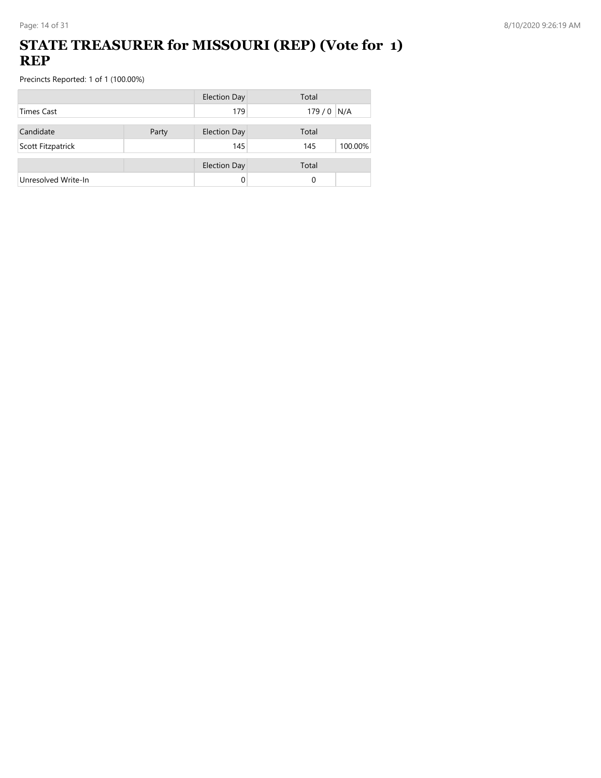### **STATE TREASURER for MISSOURI (REP) (Vote for 1) REP**

|                     |       | <b>Election Day</b> | Total          |
|---------------------|-------|---------------------|----------------|
| <b>Times Cast</b>   |       | 179                 | $179/0$ N/A    |
| Candidate           | Party | <b>Election Day</b> | Total          |
|                     |       |                     |                |
| Scott Fitzpatrick   |       | 145                 | 100.00%<br>145 |
|                     |       | <b>Election Day</b> | Total          |
| Unresolved Write-In |       | 0                   | 0              |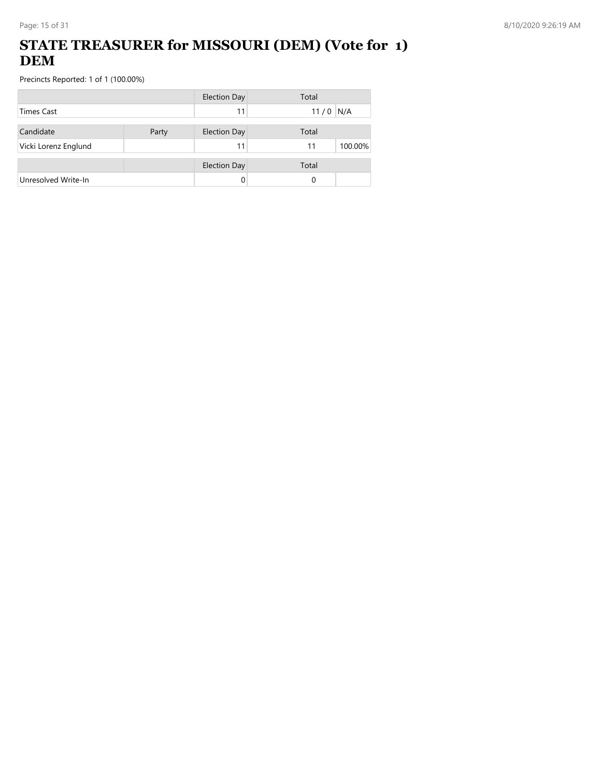# **STATE TREASURER for MISSOURI (DEM) (Vote for 1) DEM**

|                      |       | <b>Election Day</b> | Total         |
|----------------------|-------|---------------------|---------------|
| <b>Times Cast</b>    |       | 11                  | 11/0<br>N/A   |
| Candidate            | Party | <b>Election Day</b> | Total         |
| Vicki Lorenz Englund |       | 11                  | 100.00%<br>11 |
|                      |       | <b>Election Day</b> | Total         |
| Unresolved Write-In  |       |                     | 0             |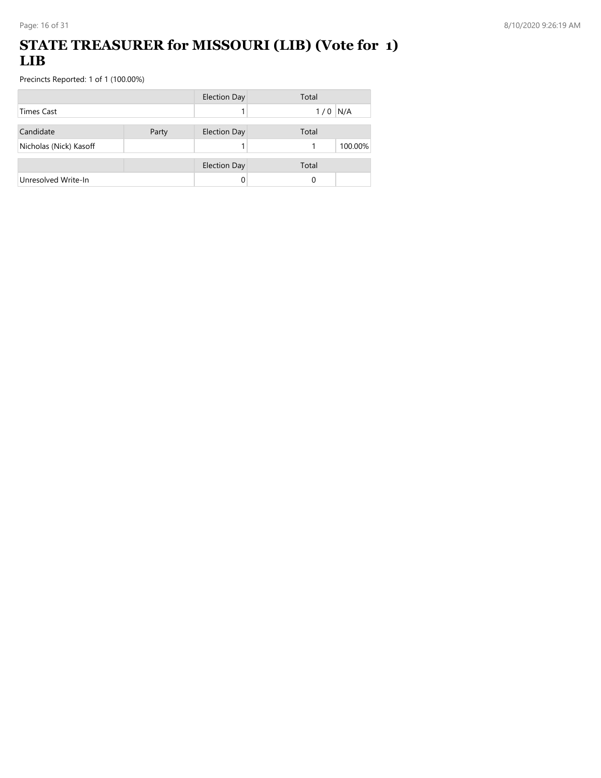### **STATE TREASURER for MISSOURI (LIB) (Vote for 1) LIB**

|                        |       | <b>Election Day</b> | Total      |
|------------------------|-------|---------------------|------------|
| <b>Times Cast</b>      |       |                     | N/A<br>1/0 |
| Candidate              | Party | <b>Election Day</b> | Total      |
| Nicholas (Nick) Kasoff |       |                     | 100.00%    |
|                        |       | <b>Election Day</b> | Total      |
| Unresolved Write-In    |       |                     | 0          |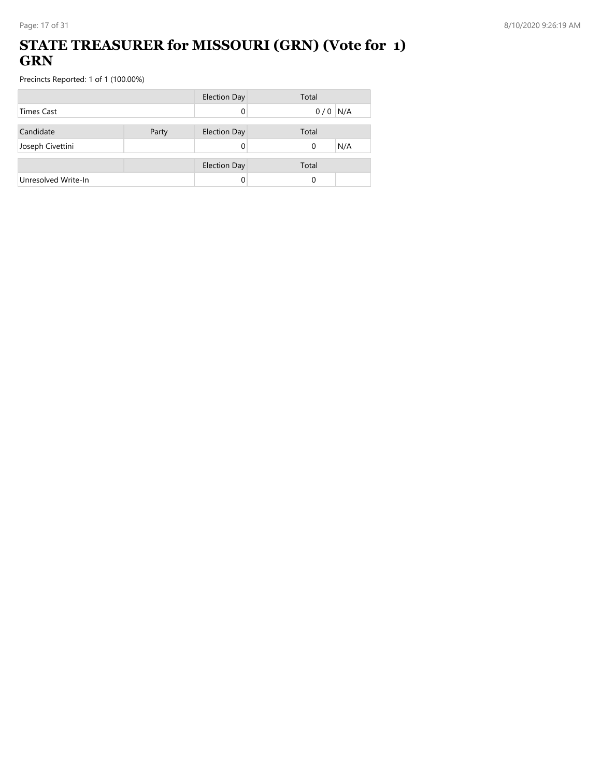# **STATE TREASURER for MISSOURI (GRN) (Vote for 1) GRN**

|                     |       | <b>Election Day</b> | Total     |
|---------------------|-------|---------------------|-----------|
| <b>Times Cast</b>   |       |                     | $0/0$ N/A |
| Candidate           | Party | <b>Election Day</b> | Total     |
| Joseph Civettini    |       |                     | N/A<br>0  |
|                     |       | <b>Election Day</b> | Total     |
| Unresolved Write-In |       |                     | 0         |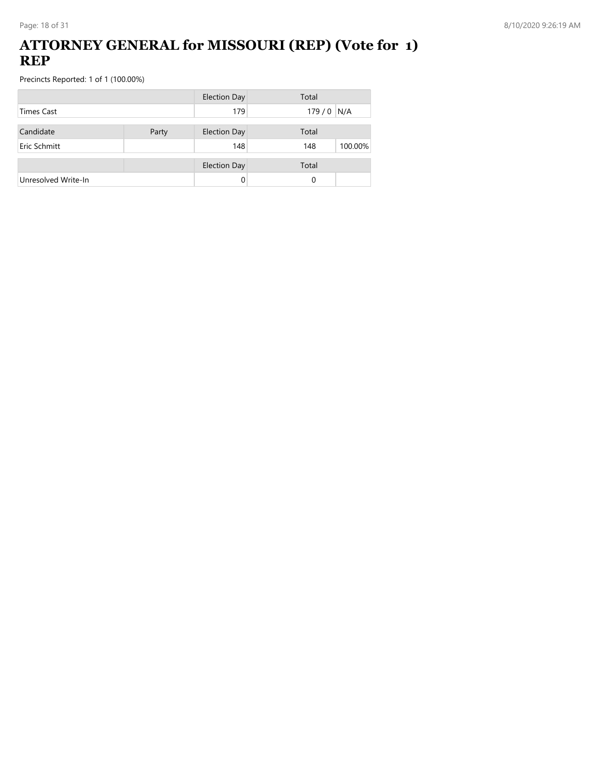#### **ATTORNEY GENERAL for MISSOURI (REP) (Vote for 1) REP**

|                     |       | <b>Election Day</b> | Total          |
|---------------------|-------|---------------------|----------------|
| <b>Times Cast</b>   |       | 179                 | $179/0$ N/A    |
| Candidate           | Party | <b>Election Day</b> | Total          |
| Eric Schmitt        |       | 148                 | 100.00%<br>148 |
|                     |       | <b>Election Day</b> | Total          |
| Unresolved Write-In |       | 0                   | 0              |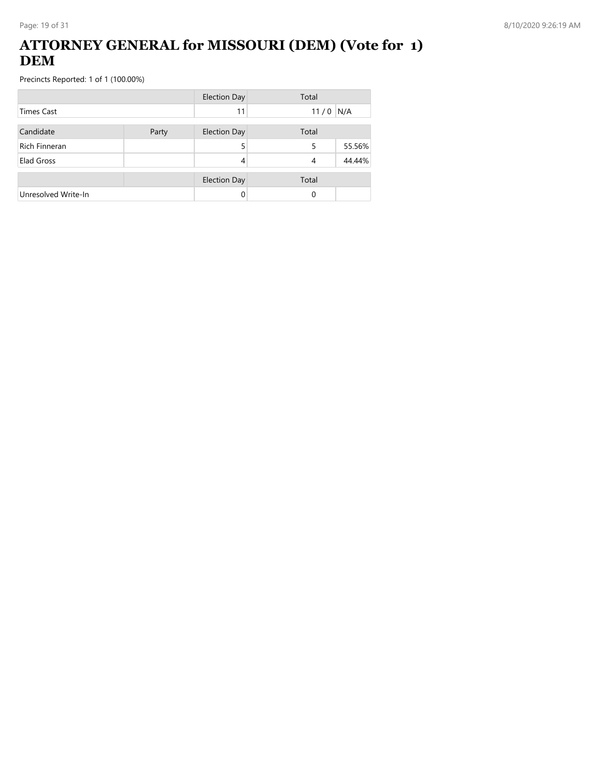### **ATTORNEY GENERAL for MISSOURI (DEM) (Vote for 1) DEM**

|                      |       | <b>Election Day</b> | Total |        |
|----------------------|-------|---------------------|-------|--------|
| <b>Times Cast</b>    |       | 11                  | 11/0  | N/A    |
| Candidate            | Party | <b>Election Day</b> | Total |        |
| <b>Rich Finneran</b> |       | 5                   | 5     | 55.56% |
| Elad Gross           |       | 4                   | 4     | 44.44% |
|                      |       | <b>Election Day</b> | Total |        |
| Unresolved Write-In  |       | 0                   | 0     |        |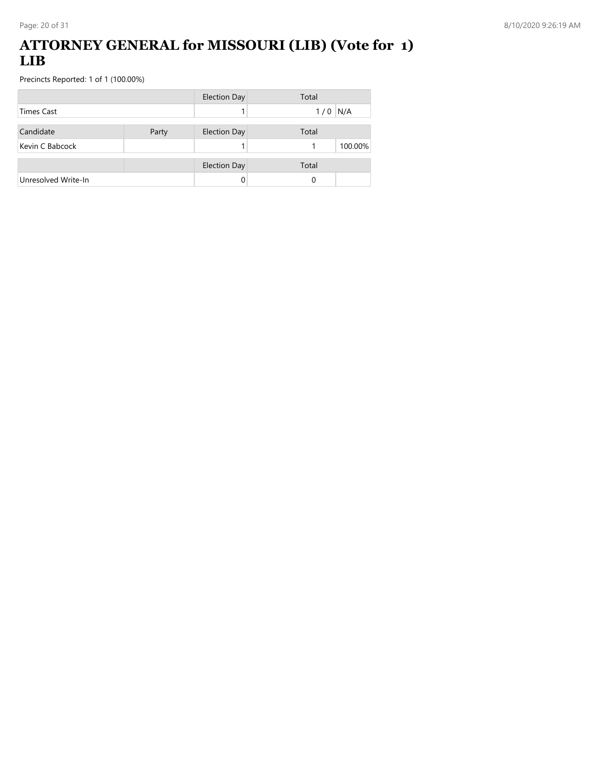#### **ATTORNEY GENERAL for MISSOURI (LIB) (Vote for 1) LIB**

|                     |       | <b>Election Day</b> | Total      |
|---------------------|-------|---------------------|------------|
| <b>Times Cast</b>   |       |                     | N/A<br>1/0 |
| Candidate           | Party | <b>Election Day</b> | Total      |
| Kevin C Babcock     |       |                     | 100.00%    |
|                     |       | <b>Election Day</b> | Total      |
| Unresolved Write-In |       |                     | 0          |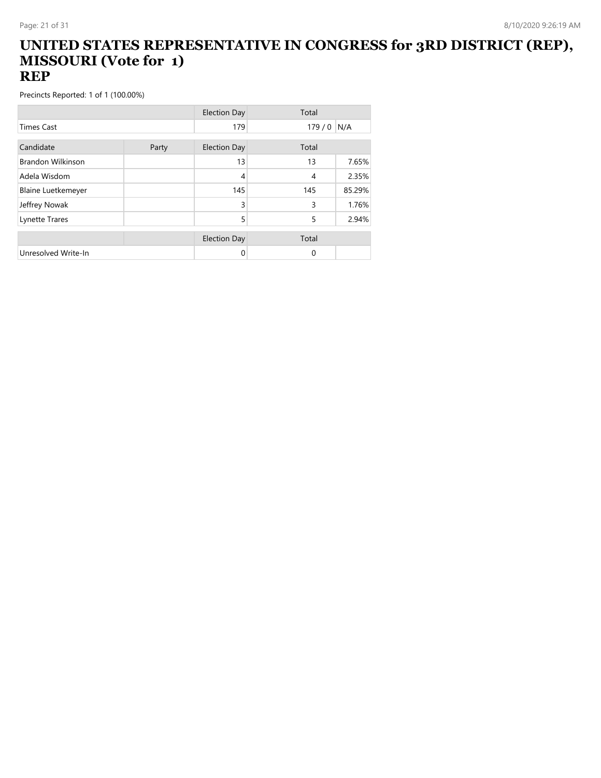#### **UNITED STATES REPRESENTATIVE IN CONGRESS for 3RD DISTRICT (REP), MISSOURI (Vote for 1) REP**

|                           |       | <b>Election Day</b> | Total          |        |
|---------------------------|-------|---------------------|----------------|--------|
| <b>Times Cast</b>         |       | 179                 | 179/0          | N/A    |
| Candidate                 | Party | <b>Election Day</b> | Total          |        |
| <b>Brandon Wilkinson</b>  |       | 13                  | 13             | 7.65%  |
| Adela Wisdom              |       | 4                   | $\overline{4}$ | 2.35%  |
| <b>Blaine Luetkemeyer</b> |       | 145                 | 145            | 85.29% |
| Jeffrey Nowak             |       | 3                   | 3              | 1.76%  |
| Lynette Trares            |       | 5                   | 5              | 2.94%  |
|                           |       | <b>Election Day</b> | Total          |        |
| Unresolved Write-In       |       | 0                   | 0              |        |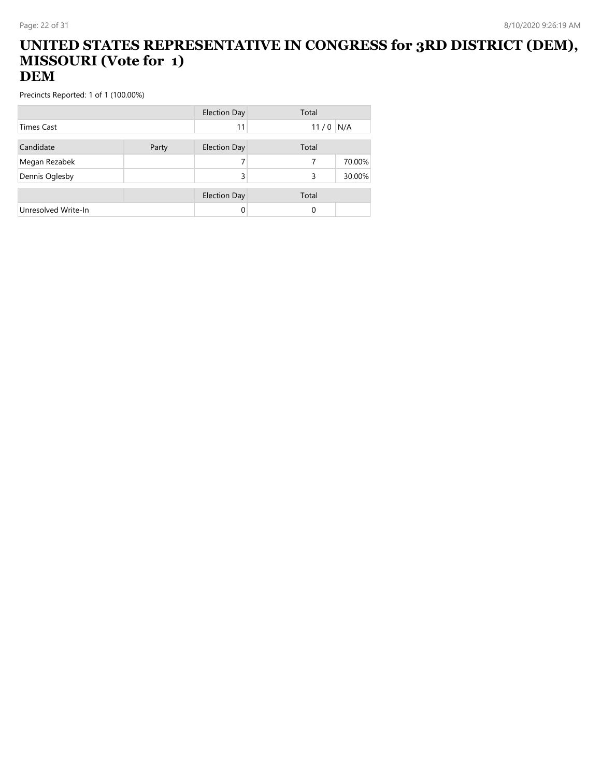#### **UNITED STATES REPRESENTATIVE IN CONGRESS for 3RD DISTRICT (DEM), MISSOURI (Vote for 1) DEM**

|                     |       | <b>Election Day</b> | Total    |        |
|---------------------|-------|---------------------|----------|--------|
| <b>Times Cast</b>   |       | 11                  | 11/0     | N/A    |
| Candidate           | Party | Election Day        | Total    |        |
| Megan Rezabek       |       |                     | 7        | 70.00% |
| Dennis Oglesby      |       | 3                   | 3        | 30.00% |
|                     |       | <b>Election Day</b> | Total    |        |
| Unresolved Write-In |       |                     | $\Omega$ |        |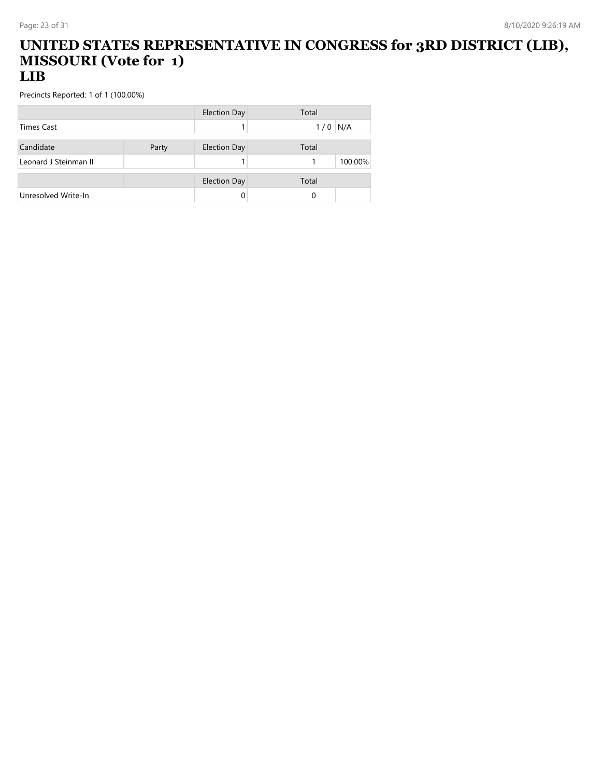#### **UNITED STATES REPRESENTATIVE IN CONGRESS for 3RD DISTRICT (LIB), MISSOURI (Vote for 1) LIB**

|                       |       | Election Day        | Total     |
|-----------------------|-------|---------------------|-----------|
| <b>Times Cast</b>     |       |                     | $1/0$ N/A |
|                       |       |                     |           |
| Candidate             | Party | <b>Election Day</b> | Total     |
| Leonard J Steinman II |       |                     | 100.00%   |
|                       |       |                     |           |
|                       |       | <b>Election Day</b> | Total     |
| Unresolved Write-In   |       |                     | 0         |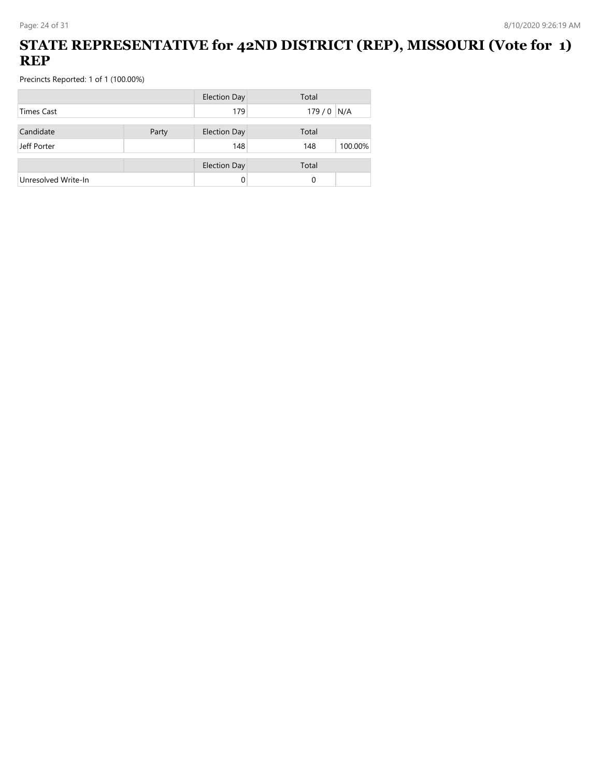# **STATE REPRESENTATIVE for 42ND DISTRICT (REP), MISSOURI (Vote for 1) REP**

|                     |       | <b>Election Day</b> | Total          |
|---------------------|-------|---------------------|----------------|
| <b>Times Cast</b>   |       | 179                 | 179/0<br>N/A   |
| Candidate           | Party | <b>Election Day</b> | Total          |
| Jeff Porter         |       | 148                 | 100.00%<br>148 |
|                     |       |                     |                |
|                     |       | <b>Election Day</b> | Total          |
| Unresolved Write-In |       |                     | 0              |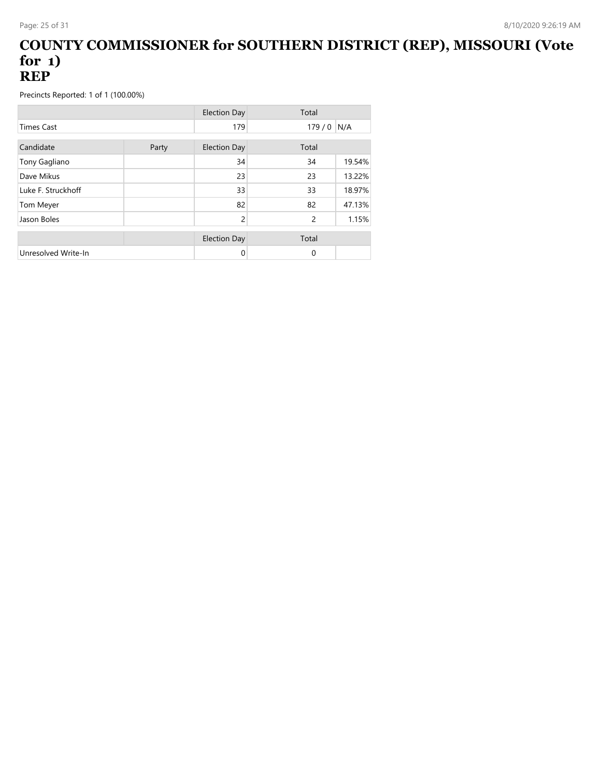#### **COUNTY COMMISSIONER for SOUTHERN DISTRICT (REP), MISSOURI (Vote for 1) REP**

|                     |       | <b>Election Day</b> | Total          |        |
|---------------------|-------|---------------------|----------------|--------|
| <b>Times Cast</b>   |       | 179                 | 179/0          | N/A    |
| Candidate           | Party | <b>Election Day</b> | Total          |        |
| Tony Gagliano       |       | 34                  | 34             | 19.54% |
| Dave Mikus          |       | 23                  | 23             | 13.22% |
| Luke F. Struckhoff  |       | 33                  | 33             | 18.97% |
| Tom Meyer           |       | 82                  | 82             | 47.13% |
| Jason Boles         |       | 2                   | $\overline{c}$ | 1.15%  |
|                     |       | <b>Election Day</b> | Total          |        |
| Unresolved Write-In |       | 0                   | $\Omega$       |        |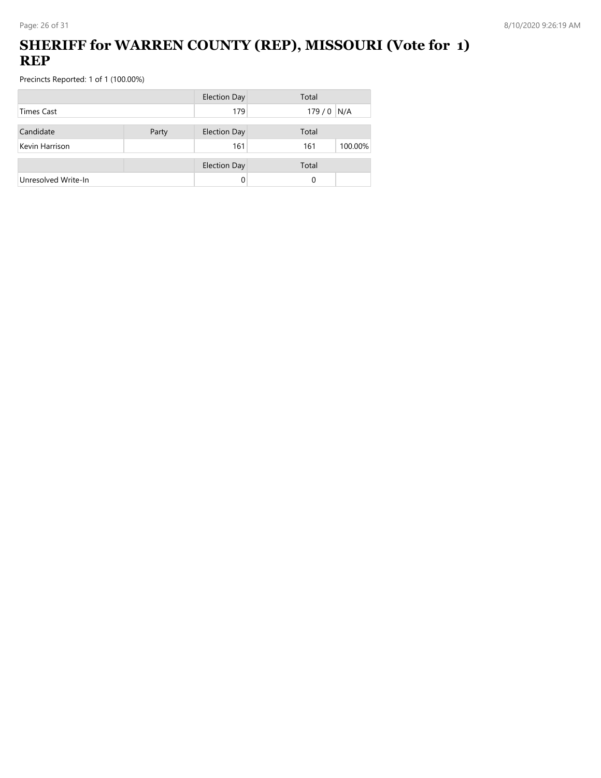# **SHERIFF for WARREN COUNTY (REP), MISSOURI (Vote for 1) REP**

|                     |       | <b>Election Day</b> | Total          |
|---------------------|-------|---------------------|----------------|
| Times Cast          |       | 179                 | 179/0<br>N/A   |
| Candidate           | Party | <b>Election Day</b> | Total          |
| Kevin Harrison      |       | 161                 | 100.00%<br>161 |
|                     |       | <b>Election Day</b> | Total          |
| Unresolved Write-In |       | 0                   | 0              |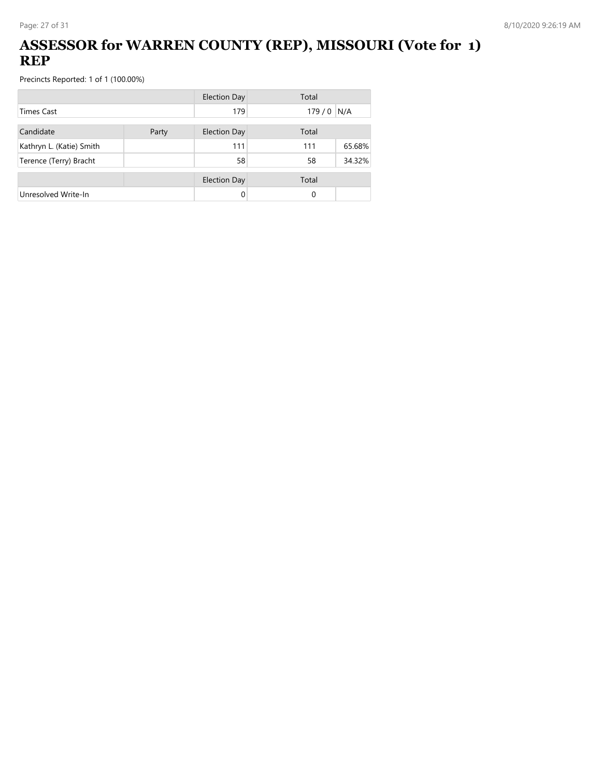# **ASSESSOR for WARREN COUNTY (REP), MISSOURI (Vote for 1) REP**

|                          |       | <b>Election Day</b> | Total |        |
|--------------------------|-------|---------------------|-------|--------|
| <b>Times Cast</b>        |       | 179                 | 179/0 | N/A    |
| Candidate                | Party | <b>Election Day</b> | Total |        |
| Kathryn L. (Katie) Smith |       | 111                 | 111   | 65.68% |
| Terence (Terry) Bracht   |       | 58                  | 58    | 34.32% |
|                          |       | <b>Election Day</b> | Total |        |
| Unresolved Write-In      |       |                     | 0     |        |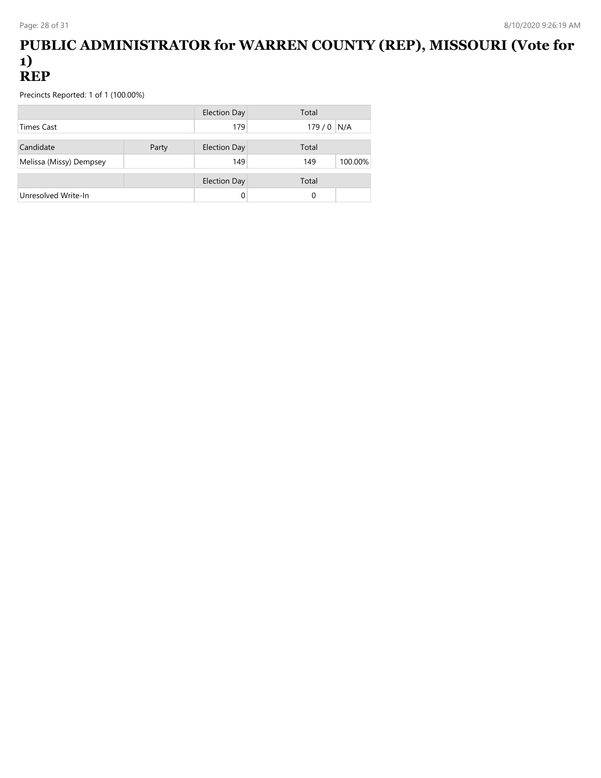#### **PUBLIC ADMINISTRATOR for WARREN COUNTY (REP), MISSOURI (Vote for 1) REP**

|                         |       | Election Day        | Total          |
|-------------------------|-------|---------------------|----------------|
| <b>Times Cast</b>       |       | 179                 | $179/0$ N/A    |
| Candidate               | Party | <b>Election Day</b> | Total          |
| Melissa (Missy) Dempsey |       | 149                 | 100.00%<br>149 |
|                         |       | <b>Election Day</b> | Total          |
| Unresolved Write-In     |       |                     | $\Omega$       |
|                         |       |                     |                |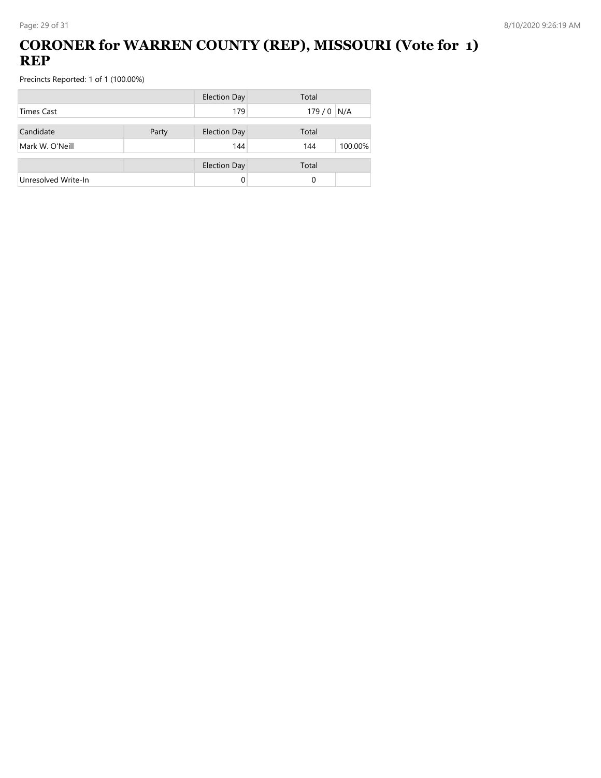# **CORONER for WARREN COUNTY (REP), MISSOURI (Vote for 1) REP**

|                     |       | <b>Election Day</b> | Total          |
|---------------------|-------|---------------------|----------------|
| <b>Times Cast</b>   |       | 179                 | $179/0$ N/A    |
| Candidate           | Party | <b>Election Day</b> | Total          |
| Mark W. O'Neill     |       | 144                 | 100.00%<br>144 |
|                     |       | <b>Election Day</b> | Total          |
| Unresolved Write-In |       | 0                   | 0              |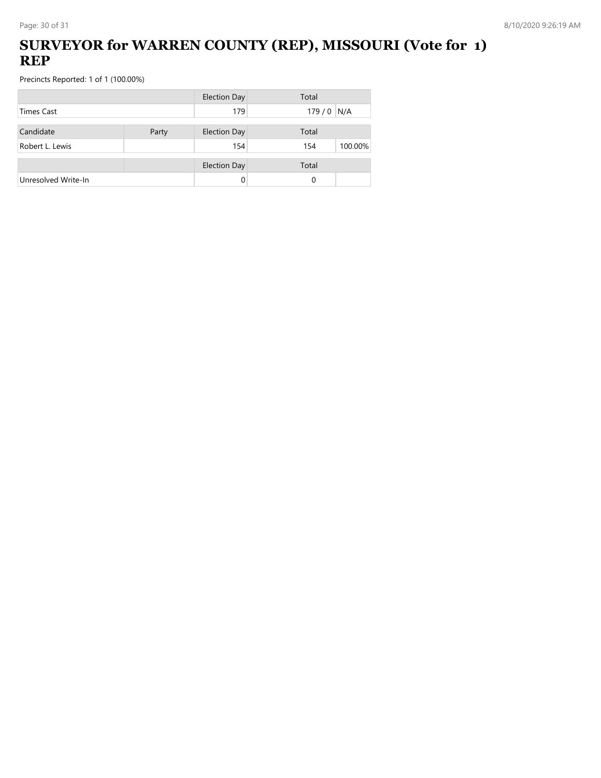# **SURVEYOR for WARREN COUNTY (REP), MISSOURI (Vote for 1) REP**

|                     |       | <b>Election Day</b> | Total          |
|---------------------|-------|---------------------|----------------|
| <b>Times Cast</b>   |       | 179                 | $179/0$ N/A    |
| Candidate           | Party | <b>Election Day</b> | Total          |
| Robert L. Lewis     |       | 154                 | 100.00%<br>154 |
|                     |       | <b>Election Day</b> | Total          |
| Unresolved Write-In |       |                     | 0              |